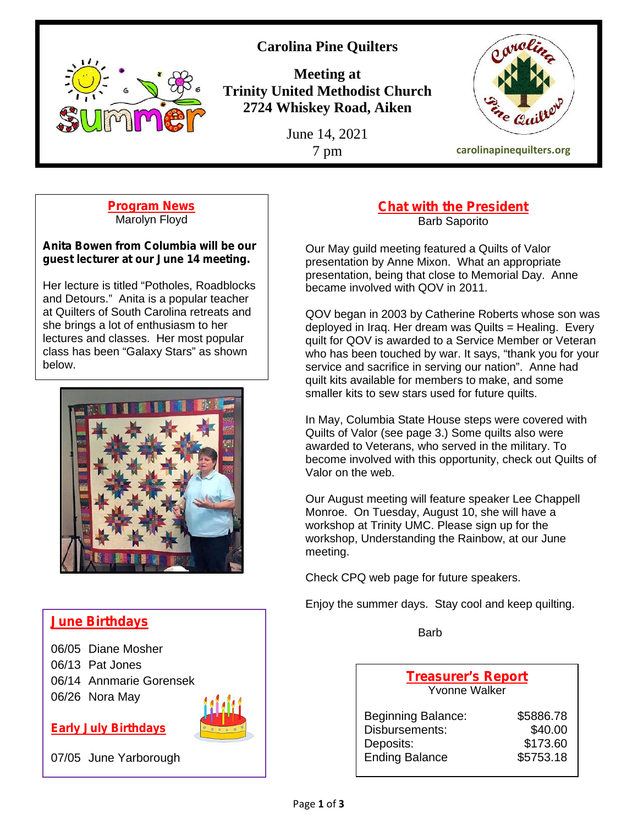

**Carolina Pine Quilters**

**Meeting at Trinity United Methodist Church 2724 Whiskey Road, Aiken**

June 14, 2021



**Program News** Marolyn Floyd

**Anita Bowen from Columbia will be our guest lecturer at our June 14 meeting.**

Her lecture is titled "Potholes, Roadblocks and Detours." Anita is a popular teacher at Quilters of South Carolina retreats and she brings a lot of enthusiasm to her lectures and classes. Her most popular class has been "Galaxy Stars" as shown below.



# **June Birthdays**

06/05 Diane Mosher 06/13 Pat Jones 06/14 Annmarie Gorensek 06/26 Nora May

**Early July Birthdays**



07/05 June Yarborough

### **Chat with the President** Barb Saporito

Our May guild meeting featured a Quilts of Valor presentation by Anne Mixon. What an appropriate presentation, being that close to Memorial Day. Anne became involved with QOV in 2011.

QOV began in 2003 by Catherine Roberts whose son was deployed in Iraq. Her dream was Quilts = Healing. Every quilt for QOV is awarded to a Service Member or Veteran who has been touched by war. It says, "thank you for your service and sacrifice in serving our nation". Anne had quilt kits available for members to make, and some smaller kits to sew stars used for future quilts.

In May, Columbia State House steps were covered with Quilts of Valor (see page 3.) Some quilts also were awarded to Veterans, who served in the military. To become involved with this opportunity, check out Quilts of Valor on the web.

Our August meeting will feature speaker Lee Chappell Monroe. On Tuesday, August 10, she will have a workshop at Trinity UMC. Please sign up for the workshop, Understanding the Rainbow, at our June meeting.

Check CPQ web page for future speakers.

Enjoy the summer days. Stay cool and keep quilting.

Barb

**Treasurer's Report** Yvonne Walker

| <b>Beginning Balance:</b> | \$5886.78 |  |
|---------------------------|-----------|--|
| Disbursements:            | \$40.00   |  |
| Deposits:                 | \$173.60  |  |
| <b>Ending Balance</b>     | \$5753.18 |  |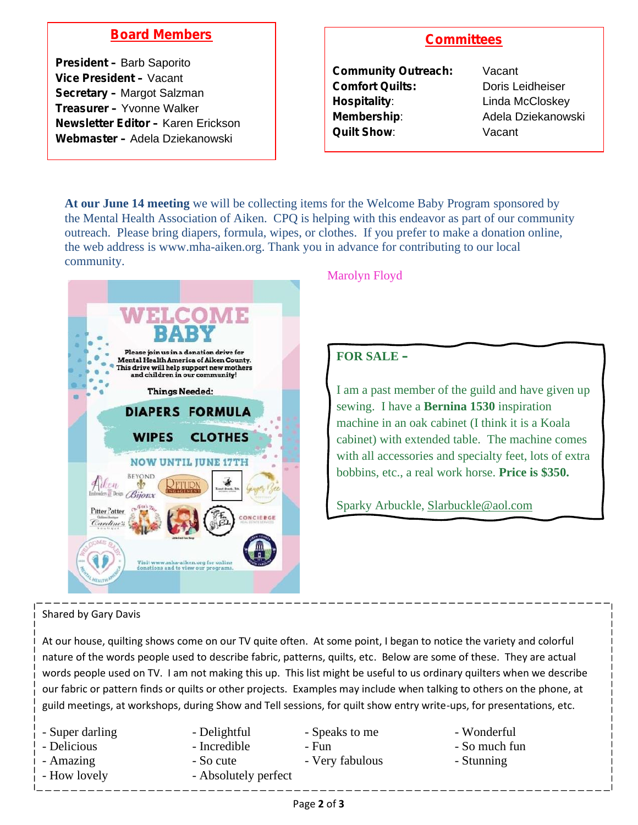## **Board Members**

**President –** Barb Saporito **Vice President –** Vacant **Secretary –** Margot Salzman **Treasurer –** Yvonne Walker **Newsletter Editor –** Karen Erickson **Webmaster –** Adela Dziekanowski

## **Committees**

**Community Outreach:** Vacant **Comfort Quilts:** Doris Leidheiser **Hospitality:** Linda McCloskey **Membership:** Adela Dziekanowski **Quilt Show**: Vacant

**At our June 14 meeting** we will be collecting items for the Welcome Baby Program sponsored by the Mental Health Association of Aiken. CPQ is helping with this endeavor as part of our community outreach. Please bring diapers, formula, wipes, or clothes. If you prefer to make a donation online, the web address is www.mha-aiken.org. Thank you in advance for contributing to our local community.



## Marolyn Floyd

## **FOR SALE –**

I am a past member of the guild and have given up sewing. I have a **Bernina 1530** inspiration machine in an oak cabinet (I think it is a Koala cabinet) with extended table. The machine comes with all accessories and specialty feet, lots of extra bobbins, etc., a real work horse. **Price is \$350.**

Sparky Arbuckle, Slarbuckle@aol.com

#### Shared by Gary Davis

At our house, quilting shows come on our TV quite often. At some point, I began to notice the variety and colorful nature of the words people used to describe fabric, patterns, quilts, etc. Below are some of these. They are actual words people used on TV. I am not making this up. This list might be useful to us ordinary quilters when we describe our fabric or pattern finds or quilts or other projects. Examples may include when talking to others on the phone, at guild meetings, at workshops, during Show and Tell sessions, for quilt show entry write-ups, for presentations, etc.

| - Super darling | - Delightful         | - Speaks to me  | - Wonderful   |
|-----------------|----------------------|-----------------|---------------|
| - Delicious     | - Incredible         | - Fun           | - So much fun |
| - Amazing       | - So cute            | - Very fabulous | - Stunning    |
| - How lovely    | - Absolutely perfect |                 |               |
|                 |                      |                 |               |